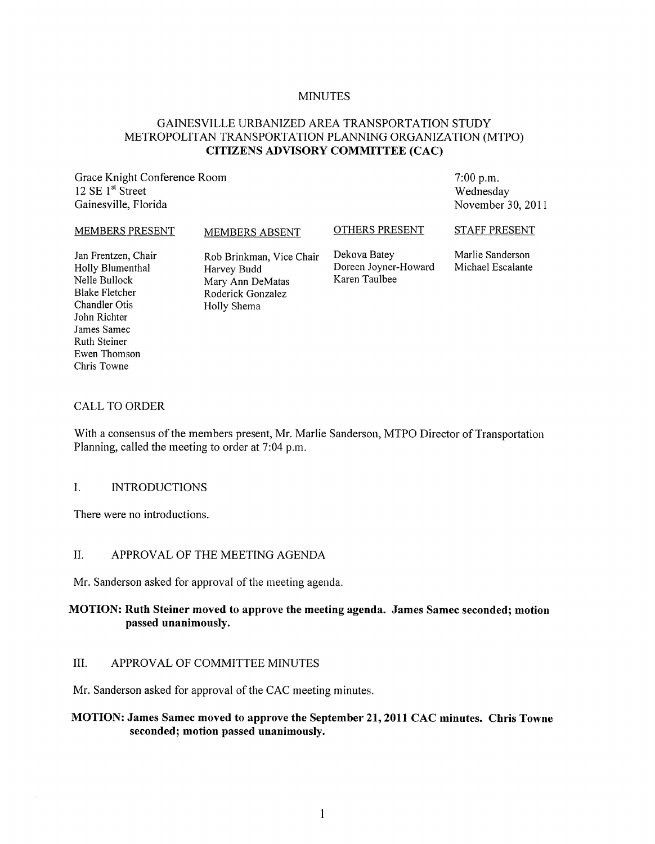### MINUTES

# GAINESVILLE URBANIZED AREA TRANSPORTATION STUDY METROPOLITAN TRANSPORTATION PLANNING ORGANIZATION (MTPO) CITIZENS ADVISORY COMMITTEE (CAC)

Grace Knight Conference Room 12 SE 1<sup>st</sup> Street Gainesville, Florida

7:00 p.m. Wednesday November 30,2011

#### MEMBERS PRESENT

MEMBERS ABSENT

#### OTHERS PRESENT

STAFF PRESENT

Jan Frentzen, Chair Holly Blumenthal Nelle Bullock Blake Fletcher Chandler Otis John Richter James Samec Ruth Steiner Ewen Thomson Chris Towne

Rob Brinkman, Vice Chair Harvey Budd Mary Ann DeMatas Roderick Gonzalez Holly Shema

Dekova Batey Doreen Joyner-Howard Karen Taulbee

Marlie Sanderson Michael Escalante

### CALL TO ORDER

With a consensus of the members present, Mr. Marlie Sanderson, MTPO Director of Transportation Planning, called the meeting to order at 7:04 p.m.

### I. INTRODUCTIONS

There were no introductions.

### II. APPROVAL OF THE MEETING AGENDA

Mr. Sanderson asked for approval of the meeting agenda.

# MOTION: Ruth Steiner moved to approve the meeting agenda. James Samec seconded; motion passed unanimously.

# III. APPROVAL OF COMMITTEE MINUTES

Mr. Sanderson asked for approval of the CAC meeting minutes.

# MOTION: James Samec moved to approve the September 21, 2011 CAC minutes. Chris Towne seconded; motion passed unanimously.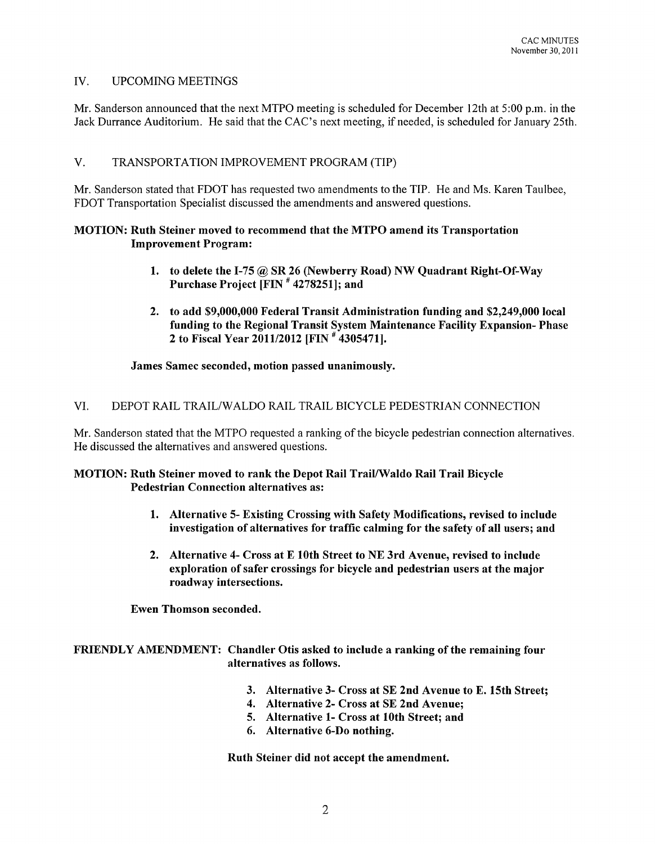# IV. UPCOMING MEETINGS

Mr. Sanderson announced that the next MTPO meeting is scheduled for December 12th at 5:00 p.m. in the Jack Durrance Auditorium. He said that the CAC's next meeting, if needed, is scheduled for January 25th.

# V. TRANSPORTATION IMPROVEMENT PROGRAM (TIP)

Mr. Sanderson stated that FOOT has requested two amendments to the TIP. He and Ms. Karen Taulbee, FOOT Transportation Specialist discussed the amendments and answered questions.

## MOTION: Ruth Steiner moved to recommend that the MTPO amend its Transportation Improvement Program:

- 1. to delete the 1-75 @ SR 26 (Newberry Road) NW Quadrant Right-Of-Way Purchase Project [FIN # 4278251]; and
- 2. to add \$9,000,000 Federal Transit Administration funding and \$2,249,000 local funding to the Regional Transit System Maintenance Facility Expansion- Phase 2 to Fiscal Year *2011/2012* [FIN # 4305471].

### James Samec seconded, motion passed unanimously.

# VI. DEPOT RAIL TRAILlW ALDO RAIL TRAIL BICYCLE PEDESTRIAN CONNECTION

Mr. Sanderson stated that the MTPO requested a ranking of the bicycle pedestrian connection alternatives. He discussed the alternatives and answered questions.

### MOTION: Ruth Steiner moved to rank the Depot Rail Trail/Waldo Rail Trail Bicycle Pedestrian Connection alternatives as:

- 1. Alternative 5- Existing Crossing with Safety Modifications, revised to include investigation of alternatives for traffic calming for the safety of all users; and
- 2. Alternative 4- Cross at E 10th Street to NE 3rd Avenue, revised to include exploration of safer crossings for bicycle and pedestrian users at the major roadway intersections.

Ewen Thomson seconded.

# FRIENDLY AMENDMENT: Chandler Otis asked to include a ranking of the remaining four alternatives as follows.

- 3. Alternative 3- Cross at SE 2nd Avenue to E. 15th Street;
- 4. Alternative 2- Cross at SE 2nd Avenue;
- 5. Alternative 1- Cross at 10th Street; and
- 6. Alternative 6-Do nothing.

Ruth Steiner did not accept the amendment.